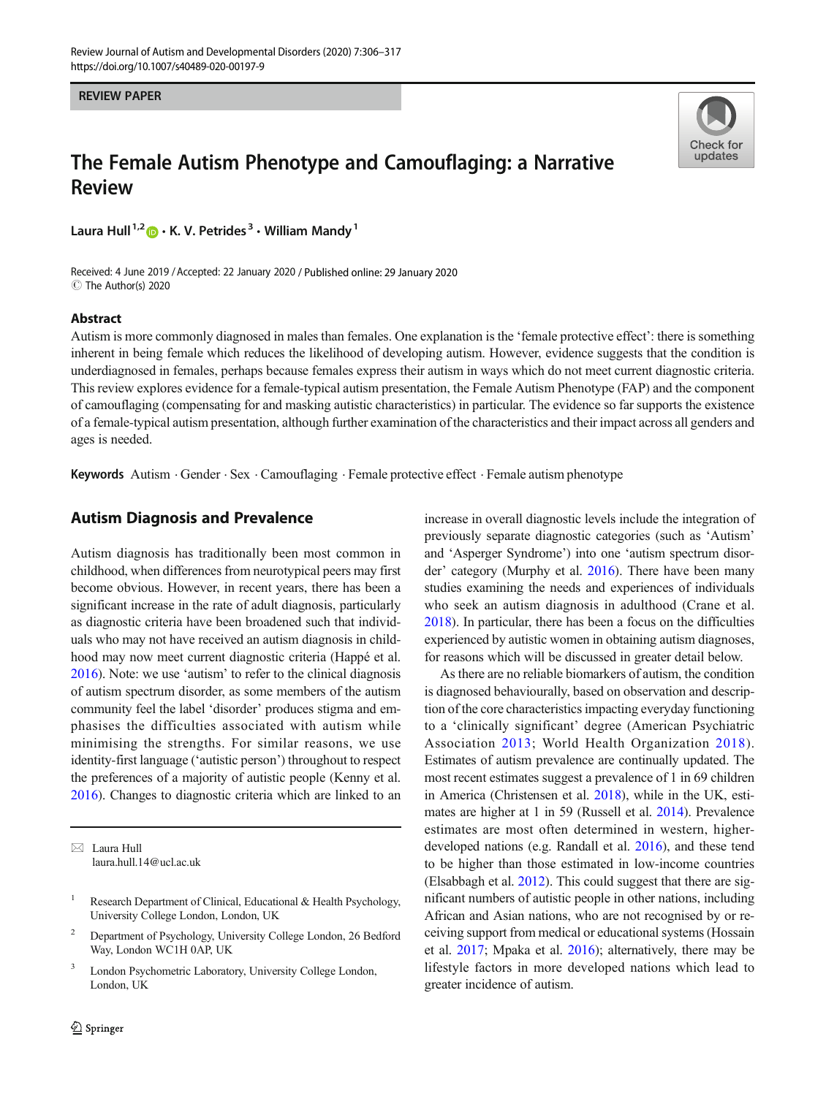#### REVIEW PAPER

# Check for undates

# The Female Autism Phenotype and Camouflaging: a Narrative Review

Laura Hull<sup>1,2</sup>  $\mathbf{D} \cdot \mathbf{K}$ . V. Petrides<sup>3</sup>  $\cdot$  William Mandy<sup>1</sup>

Received: 4 June 2019 / Accepted: 22 January 2020 / Published online: 29 January 2020 C The Author(s) 2020

#### Abstract

Autism is more commonly diagnosed in males than females. One explanation is the 'female protective effect': there is something inherent in being female which reduces the likelihood of developing autism. However, evidence suggests that the condition is underdiagnosed in females, perhaps because females express their autism in ways which do not meet current diagnostic criteria. This review explores evidence for a female-typical autism presentation, the Female Autism Phenotype (FAP) and the component of camouflaging (compensating for and masking autistic characteristics) in particular. The evidence so far supports the existence of a female-typical autism presentation, although further examination of the characteristics and their impact across all genders and ages is needed.

Keywords Autism . Gender . Sex . Camouflaging . Female protective effect . Female autism phenotype

# Autism Diagnosis and Prevalence

Autism diagnosis has traditionally been most common in childhood, when differences from neurotypical peers may first become obvious. However, in recent years, there has been a significant increase in the rate of adult diagnosis, particularly as diagnostic criteria have been broadened such that individuals who may not have received an autism diagnosis in childhood may now meet current diagnostic criteria (Happé et al. [2016\)](#page-9-0). Note: we use 'autism' to refer to the clinical diagnosis of autism spectrum disorder, as some members of the autism community feel the label 'disorder' produces stigma and emphasises the difficulties associated with autism while minimising the strengths. For similar reasons, we use identity-first language ('autistic person') throughout to respect the preferences of a majority of autistic people (Kenny et al. [2016\)](#page-9-0). Changes to diagnostic criteria which are linked to an

 $\boxtimes$  Laura Hull [laura.hull.14@ucl.ac.uk](mailto:laura.hull.14@ucl.ac.uk) increase in overall diagnostic levels include the integration of previously separate diagnostic categories (such as 'Autism' and 'Asperger Syndrome') into one 'autism spectrum disorder' category (Murphy et al. [2016](#page-10-0)). There have been many studies examining the needs and experiences of individuals who seek an autism diagnosis in adulthood (Crane et al. [2018\)](#page-8-0). In particular, there has been a focus on the difficulties experienced by autistic women in obtaining autism diagnoses, for reasons which will be discussed in greater detail below.

As there are no reliable biomarkers of autism, the condition is diagnosed behaviourally, based on observation and description of the core characteristics impacting everyday functioning to a 'clinically significant' degree (American Psychiatric Association [2013;](#page-8-0) World Health Organization [2018](#page-11-0)). Estimates of autism prevalence are continually updated. The most recent estimates suggest a prevalence of 1 in 69 children in America (Christensen et al. [2018](#page-8-0)), while in the UK, estimates are higher at 1 in 59 (Russell et al. [2014](#page-10-0)). Prevalence estimates are most often determined in western, higherdeveloped nations (e.g. Randall et al. [2016\)](#page-10-0), and these tend to be higher than those estimated in low-income countries (Elsabbagh et al. [2012](#page-8-0)). This could suggest that there are significant numbers of autistic people in other nations, including African and Asian nations, who are not recognised by or receiving support from medical or educational systems (Hossain et al. [2017](#page-9-0); Mpaka et al. [2016](#page-10-0)); alternatively, there may be lifestyle factors in more developed nations which lead to greater incidence of autism.

Research Department of Clinical, Educational & Health Psychology, University College London, London, UK

<sup>&</sup>lt;sup>2</sup> Department of Psychology, University College London, 26 Bedford Way, London WC1H 0AP, UK

<sup>&</sup>lt;sup>3</sup> London Psychometric Laboratory, University College London, London, UK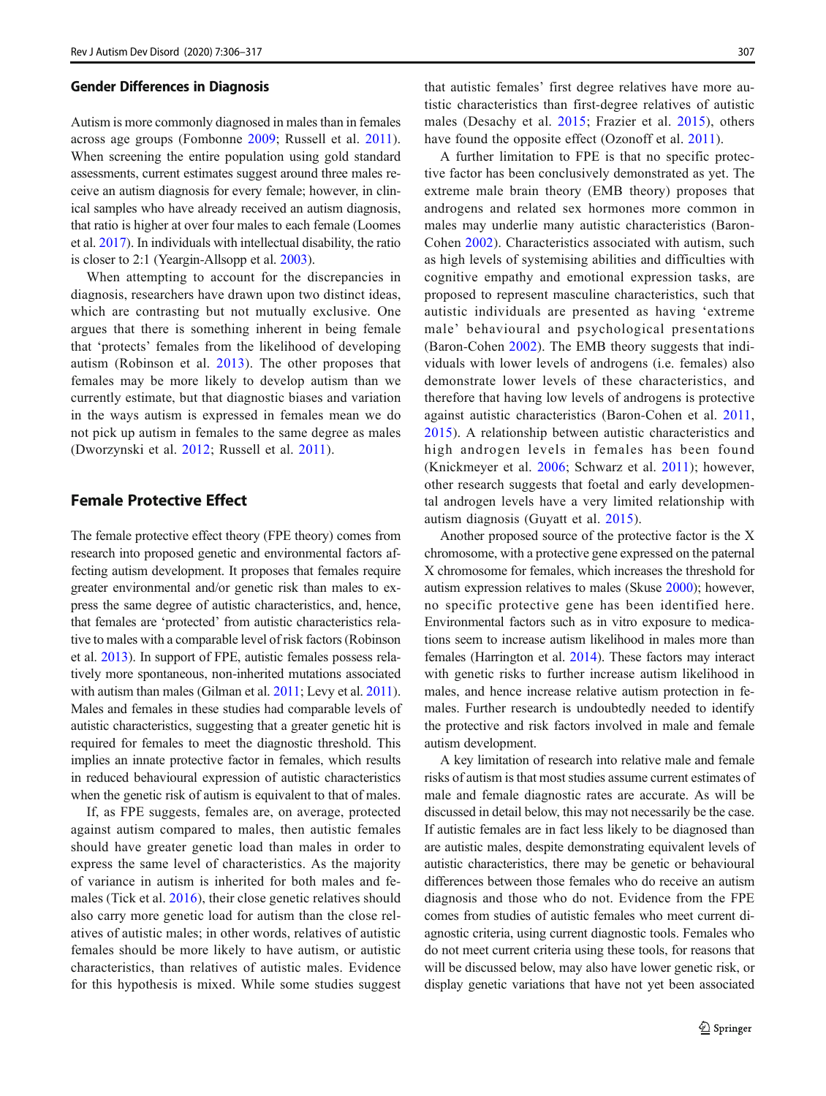#### Gender Differences in Diagnosis

Autism is more commonly diagnosed in males than in females across age groups (Fombonne [2009;](#page-8-0) Russell et al. [2011](#page-10-0)). When screening the entire population using gold standard assessments, current estimates suggest around three males receive an autism diagnosis for every female; however, in clinical samples who have already received an autism diagnosis, that ratio is higher at over four males to each female (Loomes et al. [2017](#page-10-0)). In individuals with intellectual disability, the ratio is closer to 2:1 (Yeargin-Allsopp et al. [2003\)](#page-11-0).

When attempting to account for the discrepancies in diagnosis, researchers have drawn upon two distinct ideas, which are contrasting but not mutually exclusive. One argues that there is something inherent in being female that 'protects' females from the likelihood of developing autism (Robinson et al. [2013\)](#page-10-0). The other proposes that females may be more likely to develop autism than we currently estimate, but that diagnostic biases and variation in the ways autism is expressed in females mean we do not pick up autism in females to the same degree as males (Dworzynski et al. [2012;](#page-8-0) Russell et al. [2011\)](#page-10-0).

# Female Protective Effect

The female protective effect theory (FPE theory) comes from research into proposed genetic and environmental factors affecting autism development. It proposes that females require greater environmental and/or genetic risk than males to express the same degree of autistic characteristics, and, hence, that females are 'protected' from autistic characteristics relative to males with a comparable level of risk factors (Robinson et al. [2013](#page-10-0)). In support of FPE, autistic females possess relatively more spontaneous, non-inherited mutations associated with autism than males (Gilman et al. [2011](#page-8-0); Levy et al. [2011\)](#page-9-0). Males and females in these studies had comparable levels of autistic characteristics, suggesting that a greater genetic hit is required for females to meet the diagnostic threshold. This implies an innate protective factor in females, which results in reduced behavioural expression of autistic characteristics when the genetic risk of autism is equivalent to that of males.

If, as FPE suggests, females are, on average, protected against autism compared to males, then autistic females should have greater genetic load than males in order to express the same level of characteristics. As the majority of variance in autism is inherited for both males and females (Tick et al. [2016](#page-11-0)), their close genetic relatives should also carry more genetic load for autism than the close relatives of autistic males; in other words, relatives of autistic females should be more likely to have autism, or autistic characteristics, than relatives of autistic males. Evidence for this hypothesis is mixed. While some studies suggest

that autistic females' first degree relatives have more autistic characteristics than first-degree relatives of autistic males (Desachy et al. [2015;](#page-8-0) Frazier et al. [2015](#page-8-0)), others have found the opposite effect (Ozonoff et al. [2011](#page-10-0)).

A further limitation to FPE is that no specific protective factor has been conclusively demonstrated as yet. The extreme male brain theory (EMB theory) proposes that androgens and related sex hormones more common in males may underlie many autistic characteristics (Baron-Cohen [2002\)](#page-8-0). Characteristics associated with autism, such as high levels of systemising abilities and difficulties with cognitive empathy and emotional expression tasks, are proposed to represent masculine characteristics, such that autistic individuals are presented as having 'extreme male' behavioural and psychological presentations (Baron-Cohen [2002](#page-8-0)). The EMB theory suggests that individuals with lower levels of androgens (i.e. females) also demonstrate lower levels of these characteristics, and therefore that having low levels of androgens is protective against autistic characteristics (Baron-Cohen et al. [2011,](#page-8-0) [2015](#page-8-0)). A relationship between autistic characteristics and high androgen levels in females has been found (Knickmeyer et al. [2006;](#page-9-0) Schwarz et al. [2011](#page-10-0)); however, other research suggests that foetal and early developmental androgen levels have a very limited relationship with autism diagnosis (Guyatt et al. [2015](#page-9-0)).

Another proposed source of the protective factor is the X chromosome, with a protective gene expressed on the paternal X chromosome for females, which increases the threshold for autism expression relatives to males (Skuse [2000\)](#page-11-0); however, no specific protective gene has been identified here. Environmental factors such as in vitro exposure to medications seem to increase autism likelihood in males more than females (Harrington et al. [2014\)](#page-9-0). These factors may interact with genetic risks to further increase autism likelihood in males, and hence increase relative autism protection in females. Further research is undoubtedly needed to identify the protective and risk factors involved in male and female autism development.

A key limitation of research into relative male and female risks of autism is that most studies assume current estimates of male and female diagnostic rates are accurate. As will be discussed in detail below, this may not necessarily be the case. If autistic females are in fact less likely to be diagnosed than are autistic males, despite demonstrating equivalent levels of autistic characteristics, there may be genetic or behavioural differences between those females who do receive an autism diagnosis and those who do not. Evidence from the FPE comes from studies of autistic females who meet current diagnostic criteria, using current diagnostic tools. Females who do not meet current criteria using these tools, for reasons that will be discussed below, may also have lower genetic risk, or display genetic variations that have not yet been associated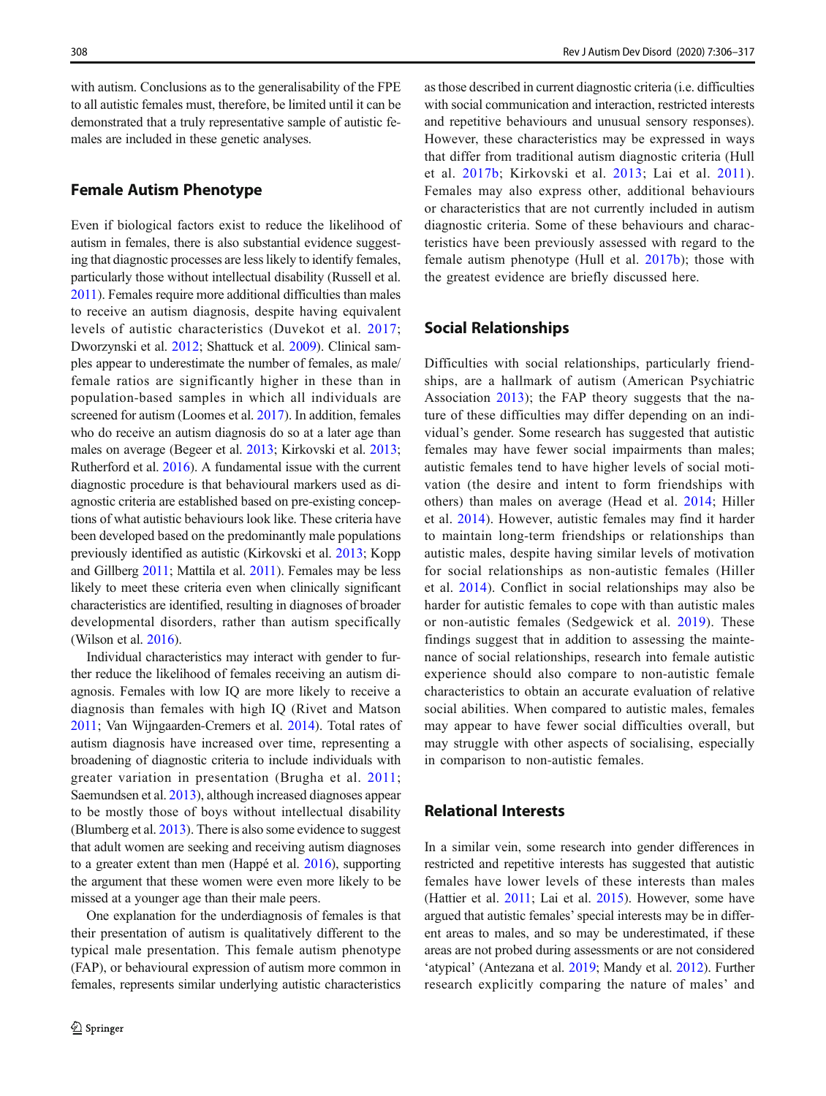with autism. Conclusions as to the generalisability of the FPE to all autistic females must, therefore, be limited until it can be demonstrated that a truly representative sample of autistic females are included in these genetic analyses.

### Female Autism Phenotype

Even if biological factors exist to reduce the likelihood of autism in females, there is also substantial evidence suggesting that diagnostic processes are less likely to identify females, particularly those without intellectual disability (Russell et al. [2011](#page-10-0)). Females require more additional difficulties than males to receive an autism diagnosis, despite having equivalent levels of autistic characteristics (Duvekot et al. [2017](#page-8-0); Dworzynski et al. [2012;](#page-8-0) Shattuck et al. [2009](#page-10-0)). Clinical samples appear to underestimate the number of females, as male/ female ratios are significantly higher in these than in population-based samples in which all individuals are screened for autism (Loomes et al. [2017\)](#page-10-0). In addition, females who do receive an autism diagnosis do so at a later age than males on average (Begeer et al. [2013](#page-8-0); Kirkovski et al. [2013](#page-9-0); Rutherford et al. [2016\)](#page-10-0). A fundamental issue with the current diagnostic procedure is that behavioural markers used as diagnostic criteria are established based on pre-existing conceptions of what autistic behaviours look like. These criteria have been developed based on the predominantly male populations previously identified as autistic (Kirkovski et al. [2013;](#page-9-0) Kopp and Gillberg [2011](#page-9-0); Mattila et al. [2011](#page-10-0)). Females may be less likely to meet these criteria even when clinically significant characteristics are identified, resulting in diagnoses of broader developmental disorders, rather than autism specifically (Wilson et al. [2016\)](#page-11-0).

Individual characteristics may interact with gender to further reduce the likelihood of females receiving an autism diagnosis. Females with low IQ are more likely to receive a diagnosis than females with high IQ (Rivet and Matson [2011](#page-10-0); Van Wijngaarden-Cremers et al. [2014](#page-11-0)). Total rates of autism diagnosis have increased over time, representing a broadening of diagnostic criteria to include individuals with greater variation in presentation (Brugha et al. [2011](#page-8-0); Saemundsen et al. [2013\)](#page-10-0), although increased diagnoses appear to be mostly those of boys without intellectual disability (Blumberg et al. [2013](#page-8-0)). There is also some evidence to suggest that adult women are seeking and receiving autism diagnoses to a greater extent than men (Happé et al. [2016\)](#page-9-0), supporting the argument that these women were even more likely to be missed at a younger age than their male peers.

One explanation for the underdiagnosis of females is that their presentation of autism is qualitatively different to the typical male presentation. This female autism phenotype (FAP), or behavioural expression of autism more common in females, represents similar underlying autistic characteristics

as those described in current diagnostic criteria (i.e. difficulties with social communication and interaction, restricted interests and repetitive behaviours and unusual sensory responses). However, these characteristics may be expressed in ways that differ from traditional autism diagnostic criteria (Hull et al. [2017b](#page-9-0); Kirkovski et al. [2013](#page-9-0); Lai et al. [2011](#page-9-0)). Females may also express other, additional behaviours or characteristics that are not currently included in autism diagnostic criteria. Some of these behaviours and characteristics have been previously assessed with regard to the female autism phenotype (Hull et al. [2017b\)](#page-9-0); those with the greatest evidence are briefly discussed here.

#### Social Relationships

Difficulties with social relationships, particularly friendships, are a hallmark of autism (American Psychiatric Association [2013](#page-8-0)); the FAP theory suggests that the nature of these difficulties may differ depending on an individual's gender. Some research has suggested that autistic females may have fewer social impairments than males; autistic females tend to have higher levels of social motivation (the desire and intent to form friendships with others) than males on average (Head et al. [2014;](#page-9-0) Hiller et al. [2014](#page-9-0)). However, autistic females may find it harder to maintain long-term friendships or relationships than autistic males, despite having similar levels of motivation for social relationships as non-autistic females (Hiller et al. [2014](#page-9-0)). Conflict in social relationships may also be harder for autistic females to cope with than autistic males or non-autistic females (Sedgewick et al. [2019](#page-10-0)). These findings suggest that in addition to assessing the maintenance of social relationships, research into female autistic experience should also compare to non-autistic female characteristics to obtain an accurate evaluation of relative social abilities. When compared to autistic males, females may appear to have fewer social difficulties overall, but may struggle with other aspects of socialising, especially in comparison to non-autistic females.

#### Relational Interests

In a similar vein, some research into gender differences in restricted and repetitive interests has suggested that autistic females have lower levels of these interests than males (Hattier et al. [2011](#page-9-0); Lai et al. [2015](#page-9-0)). However, some have argued that autistic females'special interests may be in different areas to males, and so may be underestimated, if these areas are not probed during assessments or are not considered 'atypical' (Antezana et al. [2019;](#page-8-0) Mandy et al. [2012](#page-10-0)). Further research explicitly comparing the nature of males' and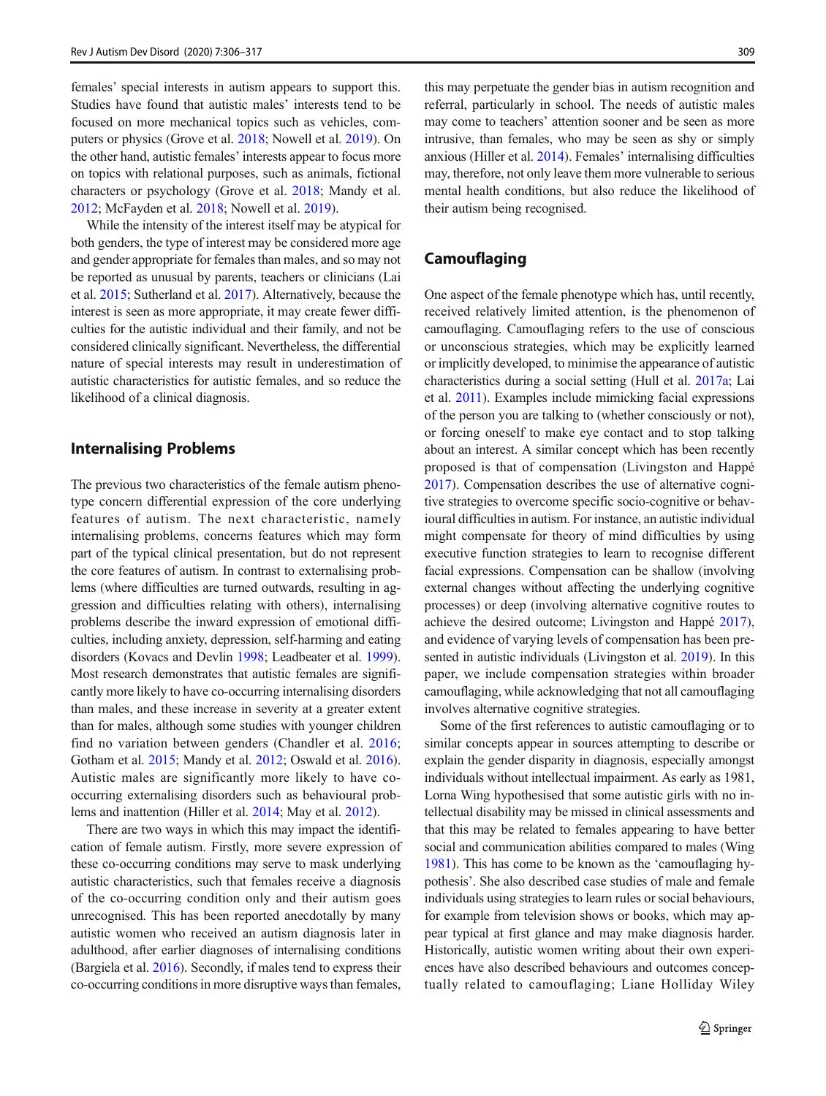females' special interests in autism appears to support this. Studies have found that autistic males' interests tend to be focused on more mechanical topics such as vehicles, computers or physics (Grove et al. [2018](#page-9-0); Nowell et al. [2019\)](#page-10-0). On the other hand, autistic females' interests appear to focus more on topics with relational purposes, such as animals, fictional characters or psychology (Grove et al. [2018;](#page-9-0) Mandy et al. [2012;](#page-10-0) McFayden et al. [2018](#page-10-0); Nowell et al. [2019\)](#page-10-0).

While the intensity of the interest itself may be atypical for both genders, the type of interest may be considered more age and gender appropriate for females than males, and so may not be reported as unusual by parents, teachers or clinicians (Lai et al. [2015;](#page-9-0) Sutherland et al. [2017](#page-11-0)). Alternatively, because the interest is seen as more appropriate, it may create fewer difficulties for the autistic individual and their family, and not be considered clinically significant. Nevertheless, the differential nature of special interests may result in underestimation of autistic characteristics for autistic females, and so reduce the likelihood of a clinical diagnosis.

### Internalising Problems

The previous two characteristics of the female autism phenotype concern differential expression of the core underlying features of autism. The next characteristic, namely internalising problems, concerns features which may form part of the typical clinical presentation, but do not represent the core features of autism. In contrast to externalising problems (where difficulties are turned outwards, resulting in aggression and difficulties relating with others), internalising problems describe the inward expression of emotional difficulties, including anxiety, depression, self-harming and eating disorders (Kovacs and Devlin [1998](#page-9-0); Leadbeater et al. [1999\)](#page-9-0). Most research demonstrates that autistic females are significantly more likely to have co-occurring internalising disorders than males, and these increase in severity at a greater extent than for males, although some studies with younger children find no variation between genders (Chandler et al. [2016](#page-8-0); Gotham et al. [2015;](#page-9-0) Mandy et al. [2012](#page-10-0); Oswald et al. [2016\)](#page-10-0). Autistic males are significantly more likely to have cooccurring externalising disorders such as behavioural problems and inattention (Hiller et al. [2014;](#page-9-0) May et al. [2012\)](#page-10-0).

There are two ways in which this may impact the identification of female autism. Firstly, more severe expression of these co-occurring conditions may serve to mask underlying autistic characteristics, such that females receive a diagnosis of the co-occurring condition only and their autism goes unrecognised. This has been reported anecdotally by many autistic women who received an autism diagnosis later in adulthood, after earlier diagnoses of internalising conditions (Bargiela et al. [2016\)](#page-8-0). Secondly, if males tend to express their co-occurring conditions in more disruptive ways than females,

this may perpetuate the gender bias in autism recognition and referral, particularly in school. The needs of autistic males may come to teachers' attention sooner and be seen as more intrusive, than females, who may be seen as shy or simply anxious (Hiller et al. [2014\)](#page-9-0). Females' internalising difficulties may, therefore, not only leave them more vulnerable to serious mental health conditions, but also reduce the likelihood of their autism being recognised.

# Camouflaging

One aspect of the female phenotype which has, until recently, received relatively limited attention, is the phenomenon of camouflaging. Camouflaging refers to the use of conscious or unconscious strategies, which may be explicitly learned or implicitly developed, to minimise the appearance of autistic characteristics during a social setting (Hull et al. [2017a](#page-9-0); Lai et al. [2011\)](#page-9-0). Examples include mimicking facial expressions of the person you are talking to (whether consciously or not), or forcing oneself to make eye contact and to stop talking about an interest. A similar concept which has been recently proposed is that of compensation (Livingston and Happé [2017\)](#page-9-0). Compensation describes the use of alternative cognitive strategies to overcome specific socio-cognitive or behavioural difficulties in autism. For instance, an autistic individual might compensate for theory of mind difficulties by using executive function strategies to learn to recognise different facial expressions. Compensation can be shallow (involving external changes without affecting the underlying cognitive processes) or deep (involving alternative cognitive routes to achieve the desired outcome; Livingston and Happé [2017\)](#page-9-0), and evidence of varying levels of compensation has been presented in autistic individuals (Livingston et al. [2019\)](#page-9-0). In this paper, we include compensation strategies within broader camouflaging, while acknowledging that not all camouflaging involves alternative cognitive strategies.

Some of the first references to autistic camouflaging or to similar concepts appear in sources attempting to describe or explain the gender disparity in diagnosis, especially amongst individuals without intellectual impairment. As early as 1981, Lorna Wing hypothesised that some autistic girls with no intellectual disability may be missed in clinical assessments and that this may be related to females appearing to have better social and communication abilities compared to males (Wing [1981\)](#page-11-0). This has come to be known as the 'camouflaging hypothesis'. She also described case studies of male and female individuals using strategies to learn rules or social behaviours, for example from television shows or books, which may appear typical at first glance and may make diagnosis harder. Historically, autistic women writing about their own experiences have also described behaviours and outcomes conceptually related to camouflaging; Liane Holliday Wiley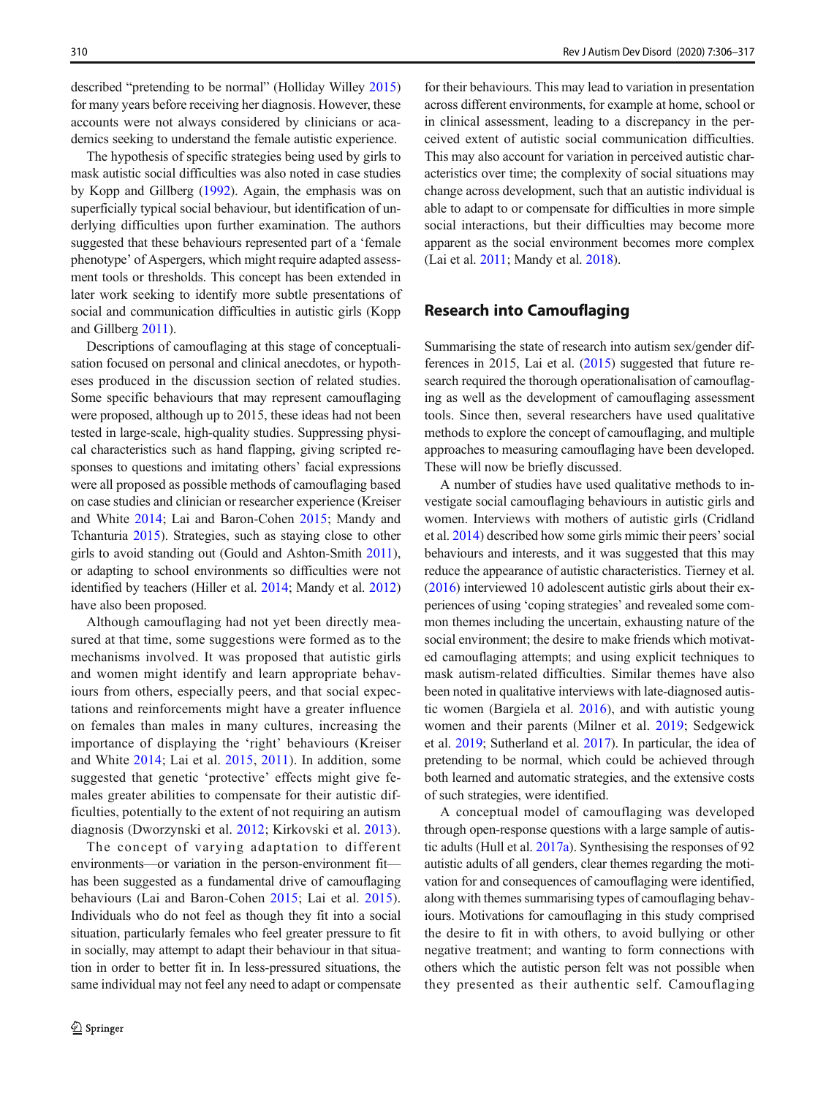described "pretending to be normal" (Holliday Willey [2015\)](#page-9-0) for many years before receiving her diagnosis. However, these accounts were not always considered by clinicians or academics seeking to understand the female autistic experience.

The hypothesis of specific strategies being used by girls to mask autistic social difficulties was also noted in case studies by Kopp and Gillberg ([1992](#page-9-0)). Again, the emphasis was on superficially typical social behaviour, but identification of underlying difficulties upon further examination. The authors suggested that these behaviours represented part of a 'female phenotype' of Aspergers, which might require adapted assessment tools or thresholds. This concept has been extended in later work seeking to identify more subtle presentations of social and communication difficulties in autistic girls (Kopp and Gillberg [2011\)](#page-9-0).

Descriptions of camouflaging at this stage of conceptualisation focused on personal and clinical anecdotes, or hypotheses produced in the discussion section of related studies. Some specific behaviours that may represent camouflaging were proposed, although up to 2015, these ideas had not been tested in large-scale, high-quality studies. Suppressing physical characteristics such as hand flapping, giving scripted responses to questions and imitating others' facial expressions were all proposed as possible methods of camouflaging based on case studies and clinician or researcher experience (Kreiser and White [2014](#page-9-0); Lai and Baron-Cohen [2015](#page-9-0); Mandy and Tchanturia [2015\)](#page-10-0). Strategies, such as staying close to other girls to avoid standing out (Gould and Ashton-Smith [2011\)](#page-9-0), or adapting to school environments so difficulties were not identified by teachers (Hiller et al. [2014](#page-9-0); Mandy et al. [2012\)](#page-10-0) have also been proposed.

Although camouflaging had not yet been directly measured at that time, some suggestions were formed as to the mechanisms involved. It was proposed that autistic girls and women might identify and learn appropriate behaviours from others, especially peers, and that social expectations and reinforcements might have a greater influence on females than males in many cultures, increasing the importance of displaying the 'right' behaviours (Kreiser and White [2014;](#page-9-0) Lai et al. [2015,](#page-9-0) [2011\)](#page-9-0). In addition, some suggested that genetic 'protective' effects might give females greater abilities to compensate for their autistic difficulties, potentially to the extent of not requiring an autism diagnosis (Dworzynski et al. [2012](#page-8-0); Kirkovski et al. [2013](#page-9-0)).

The concept of varying adaptation to different environments—or variation in the person-environment fit has been suggested as a fundamental drive of camouflaging behaviours (Lai and Baron-Cohen [2015](#page-9-0); Lai et al. [2015](#page-9-0)). Individuals who do not feel as though they fit into a social situation, particularly females who feel greater pressure to fit in socially, may attempt to adapt their behaviour in that situation in order to better fit in. In less-pressured situations, the same individual may not feel any need to adapt or compensate

for their behaviours. This may lead to variation in presentation across different environments, for example at home, school or in clinical assessment, leading to a discrepancy in the perceived extent of autistic social communication difficulties. This may also account for variation in perceived autistic characteristics over time; the complexity of social situations may change across development, such that an autistic individual is able to adapt to or compensate for difficulties in more simple social interactions, but their difficulties may become more apparent as the social environment becomes more complex (Lai et al. [2011;](#page-9-0) Mandy et al. [2018](#page-10-0)).

#### Research into Camouflaging

Summarising the state of research into autism sex/gender differences in 2015, Lai et al. [\(2015\)](#page-9-0) suggested that future research required the thorough operationalisation of camouflaging as well as the development of camouflaging assessment tools. Since then, several researchers have used qualitative methods to explore the concept of camouflaging, and multiple approaches to measuring camouflaging have been developed. These will now be briefly discussed.

A number of studies have used qualitative methods to investigate social camouflaging behaviours in autistic girls and women. Interviews with mothers of autistic girls (Cridland et al. [2014\)](#page-8-0) described how some girls mimic their peers'social behaviours and interests, and it was suggested that this may reduce the appearance of autistic characteristics. Tierney et al. [\(2016\)](#page-11-0) interviewed 10 adolescent autistic girls about their experiences of using 'coping strategies' and revealed some common themes including the uncertain, exhausting nature of the social environment; the desire to make friends which motivated camouflaging attempts; and using explicit techniques to mask autism-related difficulties. Similar themes have also been noted in qualitative interviews with late-diagnosed autistic women (Bargiela et al. [2016\)](#page-8-0), and with autistic young women and their parents (Milner et al. [2019](#page-10-0); Sedgewick et al. [2019](#page-10-0); Sutherland et al. [2017\)](#page-11-0). In particular, the idea of pretending to be normal, which could be achieved through both learned and automatic strategies, and the extensive costs of such strategies, were identified.

A conceptual model of camouflaging was developed through open-response questions with a large sample of autistic adults (Hull et al. [2017a](#page-9-0)). Synthesising the responses of 92 autistic adults of all genders, clear themes regarding the motivation for and consequences of camouflaging were identified, along with themes summarising types of camouflaging behaviours. Motivations for camouflaging in this study comprised the desire to fit in with others, to avoid bullying or other negative treatment; and wanting to form connections with others which the autistic person felt was not possible when they presented as their authentic self. Camouflaging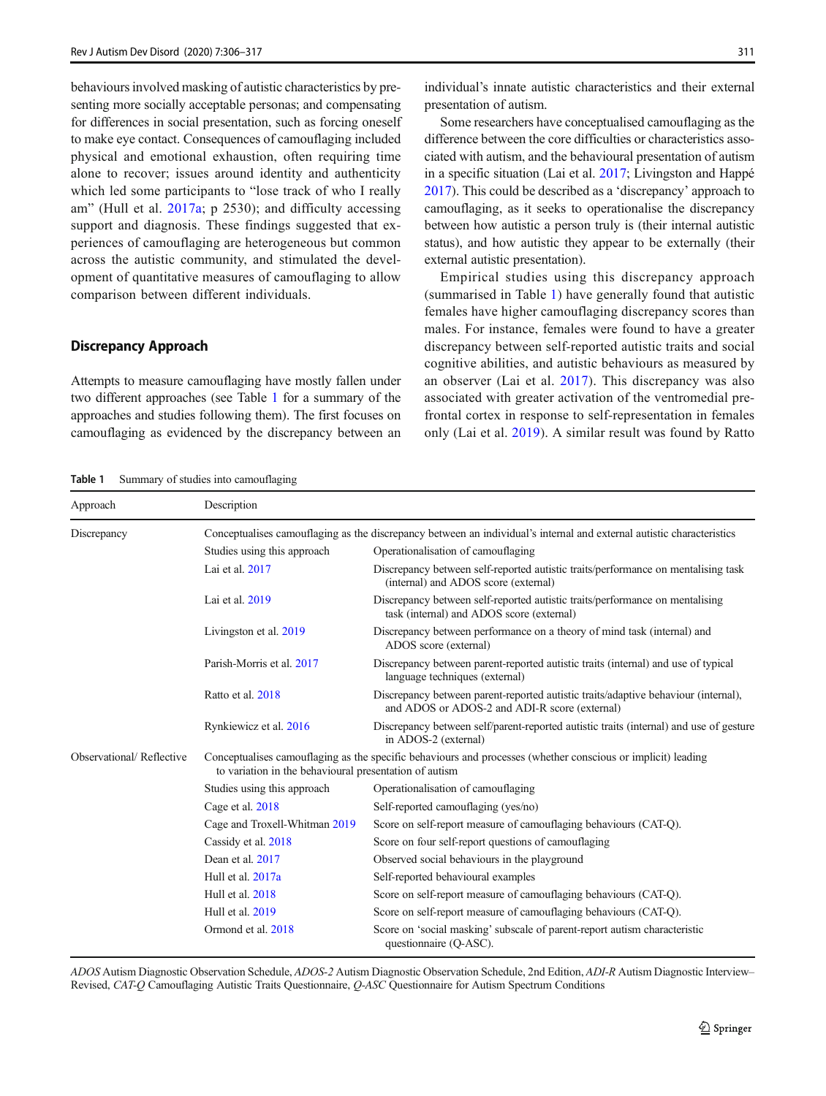<span id="page-5-0"></span>behaviours involved masking of autistic characteristics by presenting more socially acceptable personas; and compensating for differences in social presentation, such as forcing oneself to make eye contact. Consequences of camouflaging included physical and emotional exhaustion, often requiring time alone to recover; issues around identity and authenticity which led some participants to "lose track of who I really am" (Hull et al. [2017a;](#page-9-0) p 2530); and difficulty accessing support and diagnosis. These findings suggested that experiences of camouflaging are heterogeneous but common across the autistic community, and stimulated the development of quantitative measures of camouflaging to allow comparison between different individuals.

#### Discrepancy Approach

Attempts to measure camouflaging have mostly fallen under two different approaches (see Table 1 for a summary of the approaches and studies following them). The first focuses on camouflaging as evidenced by the discrepancy between an

Table 1 Summary of studies into camouflaging

individual's innate autistic characteristics and their external presentation of autism.

Some researchers have conceptualised camouflaging as the difference between the core difficulties or characteristics associated with autism, and the behavioural presentation of autism in a specific situation (Lai et al. [2017;](#page-9-0) Livingston and Happé [2017\)](#page-9-0). This could be described as a 'discrepancy' approach to camouflaging, as it seeks to operationalise the discrepancy between how autistic a person truly is (their internal autistic status), and how autistic they appear to be externally (their external autistic presentation).

Empirical studies using this discrepancy approach (summarised in Table 1) have generally found that autistic females have higher camouflaging discrepancy scores than males. For instance, females were found to have a greater discrepancy between self-reported autistic traits and social cognitive abilities, and autistic behaviours as measured by an observer (Lai et al. [2017](#page-9-0)). This discrepancy was also associated with greater activation of the ventromedial prefrontal cortex in response to self-representation in females only (Lai et al. [2019\)](#page-9-0). A similar result was found by Ratto

| Approach                 | Description                                                                                                                                                            |                                                                                                                                     |
|--------------------------|------------------------------------------------------------------------------------------------------------------------------------------------------------------------|-------------------------------------------------------------------------------------------------------------------------------------|
| Discrepancy              | Conceptualises camouflaging as the discrepancy between an individual's internal and external autistic characteristics                                                  |                                                                                                                                     |
|                          | Studies using this approach                                                                                                                                            | Operationalisation of camouflaging                                                                                                  |
|                          | Lai et al. 2017                                                                                                                                                        | Discrepancy between self-reported autistic traits/performance on mentalising task<br>(internal) and ADOS score (external)           |
|                          | Lai et al. 2019                                                                                                                                                        | Discrepancy between self-reported autistic traits/performance on mentalising<br>task (internal) and ADOS score (external)           |
|                          | Livingston et al. 2019                                                                                                                                                 | Discrepancy between performance on a theory of mind task (internal) and<br>ADOS score (external)                                    |
|                          | Parish-Morris et al. 2017                                                                                                                                              | Discrepancy between parent-reported autistic traits (internal) and use of typical<br>language techniques (external)                 |
|                          | Ratto et al. 2018                                                                                                                                                      | Discrepancy between parent-reported autistic traits/adaptive behaviour (internal),<br>and ADOS or ADOS-2 and ADI-R score (external) |
|                          | Rynkiewicz et al. 2016                                                                                                                                                 | Discrepancy between self/parent-reported autistic traits (internal) and use of gesture<br>in ADOS-2 (external)                      |
| Observational/Reflective | Conceptualises camouflaging as the specific behaviours and processes (whether conscious or implicit) leading<br>to variation in the behavioural presentation of autism |                                                                                                                                     |
|                          | Studies using this approach                                                                                                                                            | Operationalisation of camouflaging                                                                                                  |
|                          | Cage et al. 2018                                                                                                                                                       | Self-reported camouflaging (yes/no)                                                                                                 |
|                          | Cage and Troxell-Whitman 2019                                                                                                                                          | Score on self-report measure of camouflaging behaviours (CAT-Q).                                                                    |
|                          | Cassidy et al. 2018                                                                                                                                                    | Score on four self-report questions of camouflaging                                                                                 |
|                          | Dean et al. 2017                                                                                                                                                       | Observed social behaviours in the playground                                                                                        |
|                          | Hull et al. 2017a                                                                                                                                                      | Self-reported behavioural examples                                                                                                  |
|                          | Hull et al. 2018                                                                                                                                                       | Score on self-report measure of camouflaging behaviours (CAT-Q).                                                                    |
|                          | Hull et al. 2019                                                                                                                                                       | Score on self-report measure of camouflaging behaviours (CAT-Q).                                                                    |
|                          | Ormond et al. 2018                                                                                                                                                     | Score on 'social masking' subscale of parent-report autism characteristic<br>questionnaire (Q-ASC).                                 |

ADOS Autism Diagnostic Observation Schedule, ADOS-2 Autism Diagnostic Observation Schedule, 2nd Edition, ADI-R Autism Diagnostic Interview– Revised, CAT-Q Camouflaging Autistic Traits Questionnaire, Q-ASC Questionnaire for Autism Spectrum Conditions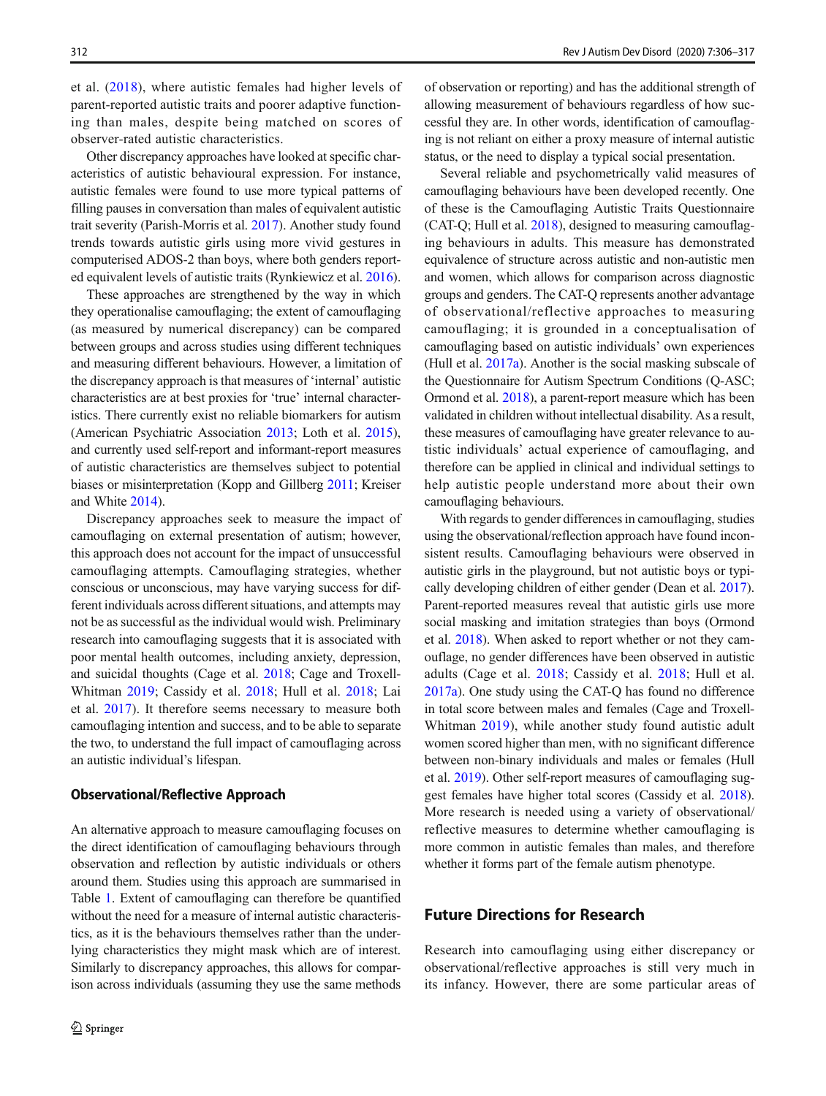et al. ([2018](#page-10-0)), where autistic females had higher levels of parent-reported autistic traits and poorer adaptive functioning than males, despite being matched on scores of observer-rated autistic characteristics.

Other discrepancy approaches have looked at specific characteristics of autistic behavioural expression. For instance, autistic females were found to use more typical patterns of filling pauses in conversation than males of equivalent autistic trait severity (Parish-Morris et al. [2017\)](#page-10-0). Another study found trends towards autistic girls using more vivid gestures in computerised ADOS-2 than boys, where both genders reported equivalent levels of autistic traits (Rynkiewicz et al. [2016\)](#page-10-0).

These approaches are strengthened by the way in which they operationalise camouflaging; the extent of camouflaging (as measured by numerical discrepancy) can be compared between groups and across studies using different techniques and measuring different behaviours. However, a limitation of the discrepancy approach is that measures of 'internal' autistic characteristics are at best proxies for 'true' internal characteristics. There currently exist no reliable biomarkers for autism (American Psychiatric Association [2013;](#page-8-0) Loth et al. [2015](#page-10-0)), and currently used self-report and informant-report measures of autistic characteristics are themselves subject to potential biases or misinterpretation (Kopp and Gillberg [2011](#page-9-0); Kreiser and White [2014\)](#page-9-0).

Discrepancy approaches seek to measure the impact of camouflaging on external presentation of autism; however, this approach does not account for the impact of unsuccessful camouflaging attempts. Camouflaging strategies, whether conscious or unconscious, may have varying success for different individuals across different situations, and attempts may not be as successful as the individual would wish. Preliminary research into camouflaging suggests that it is associated with poor mental health outcomes, including anxiety, depression, and suicidal thoughts (Cage et al. [2018;](#page-8-0) Cage and Troxell-Whitman [2019;](#page-8-0) Cassidy et al. [2018](#page-8-0); Hull et al. [2018;](#page-9-0) Lai et al. [2017](#page-9-0)). It therefore seems necessary to measure both camouflaging intention and success, and to be able to separate the two, to understand the full impact of camouflaging across an autistic individual's lifespan.

#### Observational/Reflective Approach

An alternative approach to measure camouflaging focuses on the direct identification of camouflaging behaviours through observation and reflection by autistic individuals or others around them. Studies using this approach are summarised in Table [1.](#page-5-0) Extent of camouflaging can therefore be quantified without the need for a measure of internal autistic characteristics, as it is the behaviours themselves rather than the underlying characteristics they might mask which are of interest. Similarly to discrepancy approaches, this allows for comparison across individuals (assuming they use the same methods of observation or reporting) and has the additional strength of allowing measurement of behaviours regardless of how successful they are. In other words, identification of camouflaging is not reliant on either a proxy measure of internal autistic status, or the need to display a typical social presentation.

Several reliable and psychometrically valid measures of camouflaging behaviours have been developed recently. One of these is the Camouflaging Autistic Traits Questionnaire (CAT-Q; Hull et al. [2018\)](#page-9-0), designed to measuring camouflaging behaviours in adults. This measure has demonstrated equivalence of structure across autistic and non-autistic men and women, which allows for comparison across diagnostic groups and genders. The CAT-Q represents another advantage of observational/reflective approaches to measuring camouflaging; it is grounded in a conceptualisation of camouflaging based on autistic individuals' own experiences (Hull et al. [2017a](#page-9-0)). Another is the social masking subscale of the Questionnaire for Autism Spectrum Conditions (Q-ASC; Ormond et al. [2018\)](#page-10-0), a parent-report measure which has been validated in children without intellectual disability. As a result, these measures of camouflaging have greater relevance to autistic individuals' actual experience of camouflaging, and therefore can be applied in clinical and individual settings to help autistic people understand more about their own camouflaging behaviours.

With regards to gender differences in camouflaging, studies using the observational/reflection approach have found inconsistent results. Camouflaging behaviours were observed in autistic girls in the playground, but not autistic boys or typically developing children of either gender (Dean et al. [2017\)](#page-8-0). Parent-reported measures reveal that autistic girls use more social masking and imitation strategies than boys (Ormond et al. [2018\)](#page-10-0). When asked to report whether or not they camouflage, no gender differences have been observed in autistic adults (Cage et al. [2018](#page-8-0); Cassidy et al. [2018;](#page-8-0) Hull et al. [2017a\)](#page-9-0). One study using the CAT-Q has found no difference in total score between males and females (Cage and Troxell-Whitman [2019\)](#page-8-0), while another study found autistic adult women scored higher than men, with no significant difference between non-binary individuals and males or females (Hull et al. [2019](#page-9-0)). Other self-report measures of camouflaging suggest females have higher total scores (Cassidy et al. [2018\)](#page-8-0). More research is needed using a variety of observational/ reflective measures to determine whether camouflaging is more common in autistic females than males, and therefore whether it forms part of the female autism phenotype.

# Future Directions for Research

Research into camouflaging using either discrepancy or observational/reflective approaches is still very much in its infancy. However, there are some particular areas of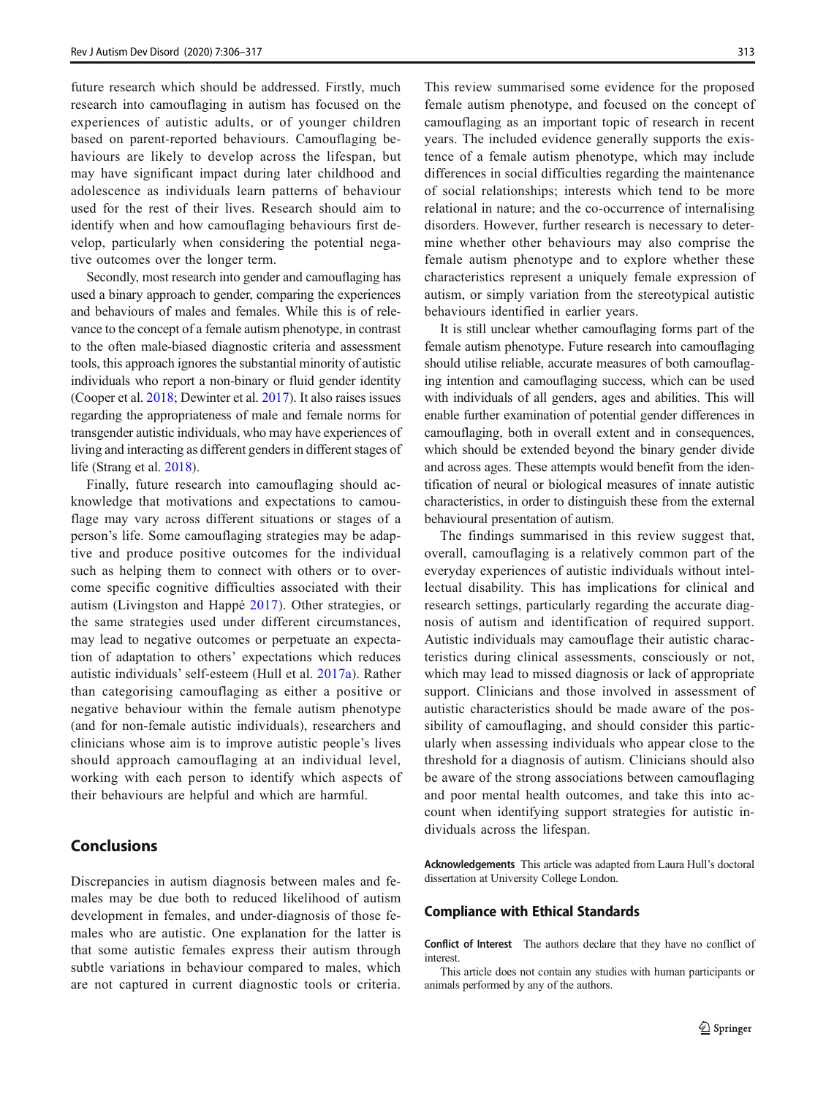future research which should be addressed. Firstly, much research into camouflaging in autism has focused on the experiences of autistic adults, or of younger children based on parent-reported behaviours. Camouflaging behaviours are likely to develop across the lifespan, but may have significant impact during later childhood and adolescence as individuals learn patterns of behaviour used for the rest of their lives. Research should aim to identify when and how camouflaging behaviours first develop, particularly when considering the potential negative outcomes over the longer term.

Secondly, most research into gender and camouflaging has used a binary approach to gender, comparing the experiences and behaviours of males and females. While this is of relevance to the concept of a female autism phenotype, in contrast to the often male-biased diagnostic criteria and assessment tools, this approach ignores the substantial minority of autistic individuals who report a non-binary or fluid gender identity (Cooper et al. [2018](#page-8-0); Dewinter et al. [2017](#page-8-0)). It also raises issues regarding the appropriateness of male and female norms for transgender autistic individuals, who may have experiences of living and interacting as different genders in different stages of life (Strang et al. [2018](#page-11-0)).

Finally, future research into camouflaging should acknowledge that motivations and expectations to camouflage may vary across different situations or stages of a person's life. Some camouflaging strategies may be adaptive and produce positive outcomes for the individual such as helping them to connect with others or to overcome specific cognitive difficulties associated with their autism (Livingston and Happé [2017\)](#page-9-0). Other strategies, or the same strategies used under different circumstances, may lead to negative outcomes or perpetuate an expectation of adaptation to others' expectations which reduces autistic individuals' self-esteem (Hull et al. [2017a\)](#page-9-0). Rather than categorising camouflaging as either a positive or negative behaviour within the female autism phenotype (and for non-female autistic individuals), researchers and clinicians whose aim is to improve autistic people's lives should approach camouflaging at an individual level, working with each person to identify which aspects of their behaviours are helpful and which are harmful.

# Conclusions

Discrepancies in autism diagnosis between males and females may be due both to reduced likelihood of autism development in females, and under-diagnosis of those females who are autistic. One explanation for the latter is that some autistic females express their autism through subtle variations in behaviour compared to males, which are not captured in current diagnostic tools or criteria.

This review summarised some evidence for the proposed female autism phenotype, and focused on the concept of camouflaging as an important topic of research in recent years. The included evidence generally supports the existence of a female autism phenotype, which may include differences in social difficulties regarding the maintenance of social relationships; interests which tend to be more relational in nature; and the co-occurrence of internalising disorders. However, further research is necessary to determine whether other behaviours may also comprise the female autism phenotype and to explore whether these characteristics represent a uniquely female expression of autism, or simply variation from the stereotypical autistic behaviours identified in earlier years.

It is still unclear whether camouflaging forms part of the female autism phenotype. Future research into camouflaging should utilise reliable, accurate measures of both camouflaging intention and camouflaging success, which can be used with individuals of all genders, ages and abilities. This will enable further examination of potential gender differences in camouflaging, both in overall extent and in consequences, which should be extended beyond the binary gender divide and across ages. These attempts would benefit from the identification of neural or biological measures of innate autistic characteristics, in order to distinguish these from the external behavioural presentation of autism.

The findings summarised in this review suggest that, overall, camouflaging is a relatively common part of the everyday experiences of autistic individuals without intellectual disability. This has implications for clinical and research settings, particularly regarding the accurate diagnosis of autism and identification of required support. Autistic individuals may camouflage their autistic characteristics during clinical assessments, consciously or not, which may lead to missed diagnosis or lack of appropriate support. Clinicians and those involved in assessment of autistic characteristics should be made aware of the possibility of camouflaging, and should consider this particularly when assessing individuals who appear close to the threshold for a diagnosis of autism. Clinicians should also be aware of the strong associations between camouflaging and poor mental health outcomes, and take this into account when identifying support strategies for autistic individuals across the lifespan.

Acknowledgements This article was adapted from Laura Hull's doctoral dissertation at University College London.

#### Compliance with Ethical Standards

Conflict of Interest The authors declare that they have no conflict of interest.

This article does not contain any studies with human participants or animals performed by any of the authors.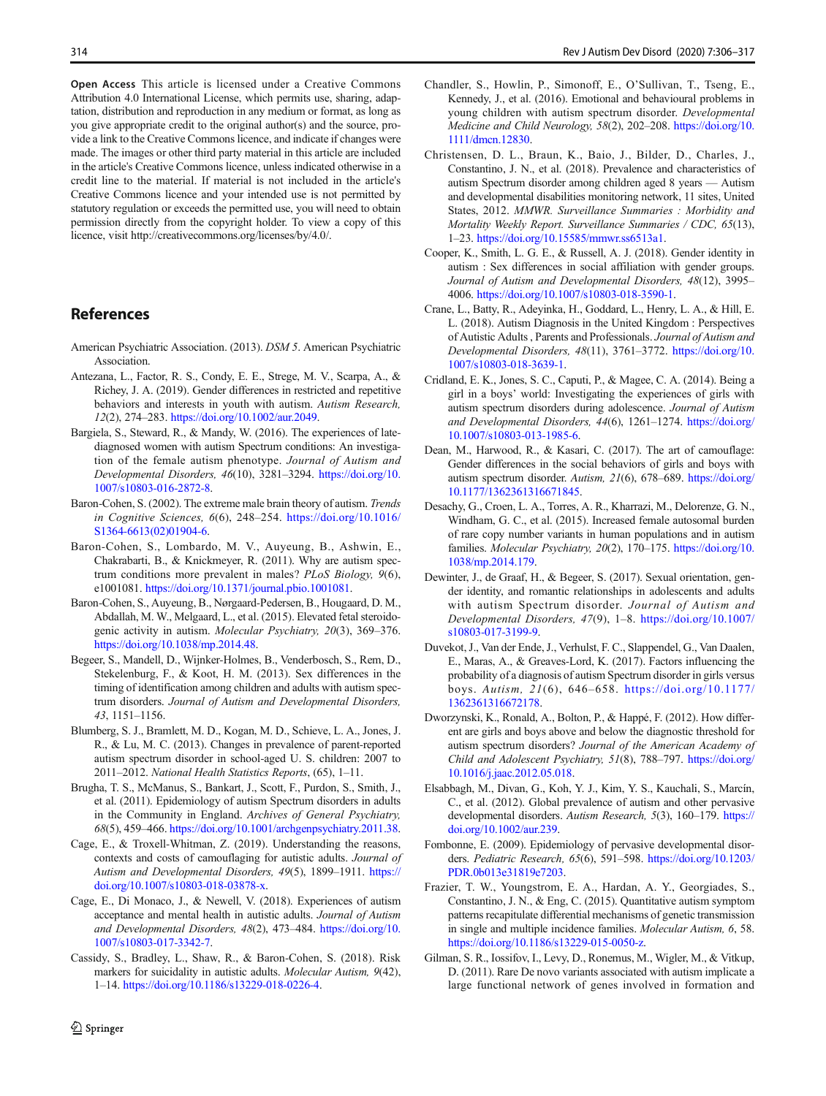<span id="page-8-0"></span>Open Access This article is licensed under a Creative Commons Attribution 4.0 International License, which permits use, sharing, adaptation, distribution and reproduction in any medium or format, as long as you give appropriate credit to the original author(s) and the source, provide a link to the Creative Commons licence, and indicate if changes were made. The images or other third party material in this article are included in the article's Creative Commons licence, unless indicated otherwise in a credit line to the material. If material is not included in the article's Creative Commons licence and your intended use is not permitted by statutory regulation or exceeds the permitted use, you will need to obtain permission directly from the copyright holder. To view a copy of this licence, visit http://creativecommons.org/licenses/by/4.0/.

## References

- American Psychiatric Association. (2013). DSM 5. American Psychiatric Association.
- Antezana, L., Factor, R. S., Condy, E. E., Strege, M. V., Scarpa, A., & Richey, J. A. (2019). Gender differences in restricted and repetitive behaviors and interests in youth with autism. Autism Research, 12(2), 274–283. [https://doi.org/10.1002/aur.2049.](https://doi.org/10.1002/aur.2049)
- Bargiela, S., Steward, R., & Mandy, W. (2016). The experiences of latediagnosed women with autism Spectrum conditions: An investigation of the female autism phenotype. Journal of Autism and Developmental Disorders, 46(10), 3281–3294. [https://doi.org/10.](https://doi.org/10.1007/s10803-016-2872-8) [1007/s10803-016-2872-8.](https://doi.org/10.1007/s10803-016-2872-8)
- Baron-Cohen, S. (2002). The extreme male brain theory of autism. Trends in Cognitive Sciences, 6(6), 248–254. [https://doi.org/10.1016/](https://doi.org/10.1016/S1364-6613(02)01904-6) [S1364-6613\(02\)01904-6](https://doi.org/10.1016/S1364-6613(02)01904-6).
- Baron-Cohen, S., Lombardo, M. V., Auyeung, B., Ashwin, E., Chakrabarti, B., & Knickmeyer, R. (2011). Why are autism spectrum conditions more prevalent in males? PLoS Biology, 9(6), e1001081. <https://doi.org/10.1371/journal.pbio.1001081>.
- Baron-Cohen, S., Auyeung, B., Nørgaard-Pedersen, B., Hougaard, D. M., Abdallah, M. W., Melgaard, L., et al. (2015). Elevated fetal steroidogenic activity in autism. Molecular Psychiatry, 20(3), 369–376. <https://doi.org/10.1038/mp.2014.48>.
- Begeer, S., Mandell, D., Wijnker-Holmes, B., Venderbosch, S., Rem, D., Stekelenburg, F., & Koot, H. M. (2013). Sex differences in the timing of identification among children and adults with autism spectrum disorders. Journal of Autism and Developmental Disorders, 43, 1151–1156.
- Blumberg, S. J., Bramlett, M. D., Kogan, M. D., Schieve, L. A., Jones, J. R., & Lu, M. C. (2013). Changes in prevalence of parent-reported autism spectrum disorder in school-aged U. S. children: 2007 to 2011–2012. National Health Statistics Reports, (65), 1–11.
- Brugha, T. S., McManus, S., Bankart, J., Scott, F., Purdon, S., Smith, J., et al. (2011). Epidemiology of autism Spectrum disorders in adults in the Community in England. Archives of General Psychiatry, 68(5), 459–466. <https://doi.org/10.1001/archgenpsychiatry.2011.38>.
- Cage, E., & Troxell-Whitman, Z. (2019). Understanding the reasons, contexts and costs of camouflaging for autistic adults. Journal of Autism and Developmental Disorders, 49(5), 1899-1911. [https://](https://doi.org/10.1007/s10803-018-03878-x) [doi.org/10.1007/s10803-018-03878-x](https://doi.org/10.1007/s10803-018-03878-x).
- Cage, E., Di Monaco, J., & Newell, V. (2018). Experiences of autism acceptance and mental health in autistic adults. Journal of Autism and Developmental Disorders, 48(2), 473–484. [https://doi.org/10.](https://doi.org/10.1007/s10803-017-3342-7) [1007/s10803-017-3342-7.](https://doi.org/10.1007/s10803-017-3342-7)
- Cassidy, S., Bradley, L., Shaw, R., & Baron-Cohen, S. (2018). Risk markers for suicidality in autistic adults. Molecular Autism, 9(42), 1–14. <https://doi.org/10.1186/s13229-018-0226-4>.
- Chandler, S., Howlin, P., Simonoff, E., O'Sullivan, T., Tseng, E., Kennedy, J., et al. (2016). Emotional and behavioural problems in young children with autism spectrum disorder. Developmental Medicine and Child Neurology, 58(2), 202–208. [https://doi.org/10.](https://doi.org/10.1111/dmcn.12830) [1111/dmcn.12830.](https://doi.org/10.1111/dmcn.12830)
- Christensen, D. L., Braun, K., Baio, J., Bilder, D., Charles, J., Constantino, J. N., et al. (2018). Prevalence and characteristics of autism Spectrum disorder among children aged 8 years — Autism and developmental disabilities monitoring network, 11 sites, United States, 2012. MMWR. Surveillance Summaries : Morbidity and Mortality Weekly Report. Surveillance Summaries / CDC, 65(13), 1–23. [https://doi.org/10.15585/mmwr.ss6513a1.](https://doi.org/10.15585/mmwr.ss6513a1)
- Cooper, K., Smith, L. G. E., & Russell, A. J. (2018). Gender identity in autism : Sex differences in social affiliation with gender groups. Journal of Autism and Developmental Disorders, 48(12), 3995– 4006. [https://doi.org/10.1007/s10803-018-3590-1.](https://doi.org/10.1007/s10803-018-3590-1)
- Crane, L., Batty, R., Adeyinka, H., Goddard, L., Henry, L. A., & Hill, E. L. (2018). Autism Diagnosis in the United Kingdom : Perspectives of Autistic Adults , Parents and Professionals. Journal of Autism and Developmental Disorders, 48(11), 3761–3772. [https://doi.org/10.](https://doi.org/10.1007/s10803-018-3639-1) [1007/s10803-018-3639-1.](https://doi.org/10.1007/s10803-018-3639-1)
- Cridland, E. K., Jones, S. C., Caputi, P., & Magee, C. A. (2014). Being a girl in a boys' world: Investigating the experiences of girls with autism spectrum disorders during adolescence. Journal of Autism and Developmental Disorders, 44(6), 1261–1274. [https://doi.org/](https://doi.org/10.1007/s10803-013-1985-6) [10.1007/s10803-013-1985-6.](https://doi.org/10.1007/s10803-013-1985-6)
- Dean, M., Harwood, R., & Kasari, C. (2017). The art of camouflage: Gender differences in the social behaviors of girls and boys with autism spectrum disorder. Autism, 21(6), 678–689. [https://doi.org/](https://doi.org/10.1177/1362361316671845) [10.1177/1362361316671845.](https://doi.org/10.1177/1362361316671845)
- Desachy, G., Croen, L. A., Torres, A. R., Kharrazi, M., Delorenze, G. N., Windham, G. C., et al. (2015). Increased female autosomal burden of rare copy number variants in human populations and in autism families. Molecular Psychiatry, 20(2), 170-175. [https://doi.org/10.](https://doi.org/10.1038/mp.2014.179) [1038/mp.2014.179](https://doi.org/10.1038/mp.2014.179).
- Dewinter, J., de Graaf, H., & Begeer, S. (2017). Sexual orientation, gender identity, and romantic relationships in adolescents and adults with autism Spectrum disorder. Journal of Autism and Developmental Disorders, 47(9), 1–8. [https://doi.org/10.1007/](https://doi.org/10.1007/s10803-017-3199-9) [s10803-017-3199-9.](https://doi.org/10.1007/s10803-017-3199-9)
- Duvekot, J., Van der Ende, J., Verhulst, F. C., Slappendel, G., Van Daalen, E., Maras, A., & Greaves-Lord, K. (2017). Factors influencing the probability of a diagnosis of autism Spectrum disorder in girls versus boys. Autism, 21(6), 646–658. [https://doi.org/10.1177/](https://doi.org/10.1177/1362361316672178) [1362361316672178](https://doi.org/10.1177/1362361316672178).
- Dworzynski, K., Ronald, A., Bolton, P., & Happé, F. (2012). How different are girls and boys above and below the diagnostic threshold for autism spectrum disorders? Journal of the American Academy of Child and Adolescent Psychiatry, 51(8), 788–797. [https://doi.org/](https://doi.org/10.1016/j.jaac.2012.05.018) [10.1016/j.jaac.2012.05.018.](https://doi.org/10.1016/j.jaac.2012.05.018)
- Elsabbagh, M., Divan, G., Koh, Y. J., Kim, Y. S., Kauchali, S., Marcín, C., et al. (2012). Global prevalence of autism and other pervasive developmental disorders. Autism Research, 5(3), 160-179. [https://](https://doi.org/10.1002/aur.239) [doi.org/10.1002/aur.239.](https://doi.org/10.1002/aur.239)
- Fombonne, E. (2009). Epidemiology of pervasive developmental disorders. Pediatric Research, 65(6), 591–598. [https://doi.org/10.1203/](https://doi.org/10.1203/PDR.0b013e31819e7203) [PDR.0b013e31819e7203](https://doi.org/10.1203/PDR.0b013e31819e7203).
- Frazier, T. W., Youngstrom, E. A., Hardan, A. Y., Georgiades, S., Constantino, J. N., & Eng, C. (2015). Quantitative autism symptom patterns recapitulate differential mechanisms of genetic transmission in single and multiple incidence families. Molecular Autism, 6, 58. <https://doi.org/10.1186/s13229-015-0050-z>.
- Gilman, S. R., Iossifov, I., Levy, D., Ronemus, M., Wigler, M., & Vitkup, D. (2011). Rare De novo variants associated with autism implicate a large functional network of genes involved in formation and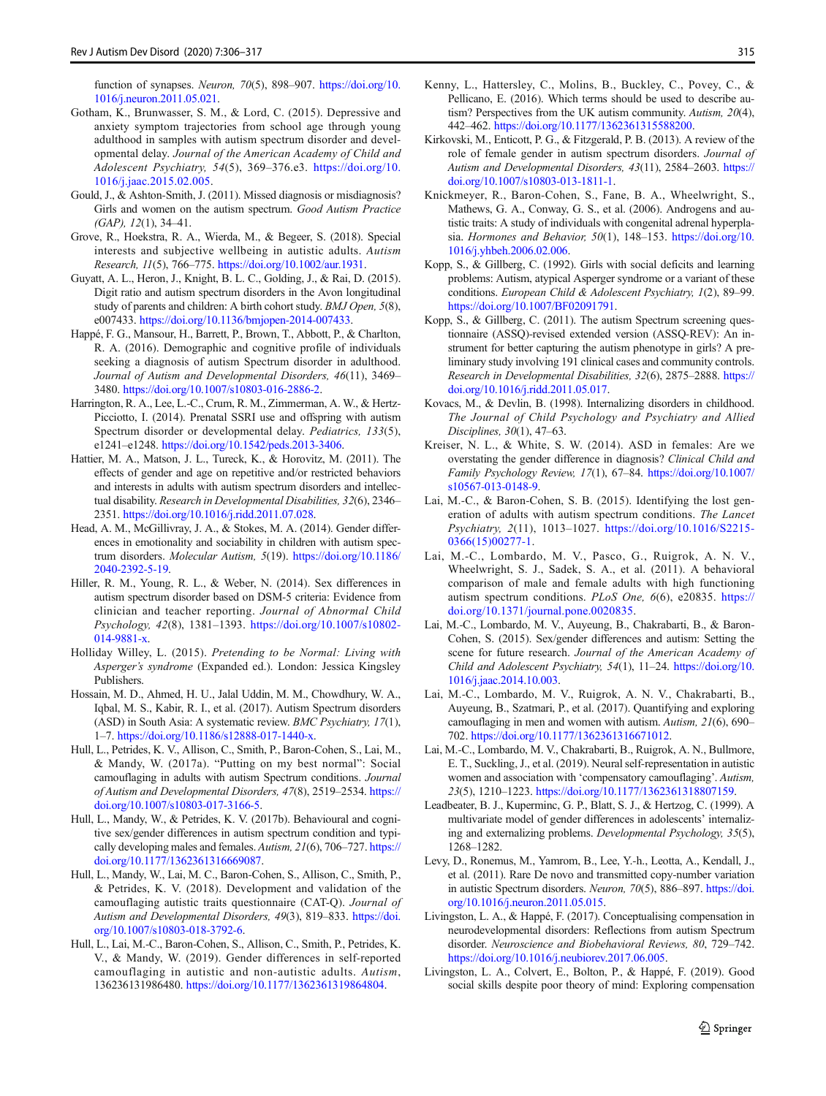- <span id="page-9-0"></span>Gotham, K., Brunwasser, S. M., & Lord, C. (2015). Depressive and anxiety symptom trajectories from school age through young adulthood in samples with autism spectrum disorder and developmental delay. Journal of the American Academy of Child and Adolescent Psychiatry, 54(5), 369–376.e3. [https://doi.org/10.](https://doi.org/10.1016/j.jaac.2015.02.005) [1016/j.jaac.2015.02.005.](https://doi.org/10.1016/j.jaac.2015.02.005)
- Gould, J., & Ashton-Smith, J. (2011). Missed diagnosis or misdiagnosis? Girls and women on the autism spectrum. Good Autism Practice (GAP), 12(1), 34–41.
- Grove, R., Hoekstra, R. A., Wierda, M., & Begeer, S. (2018). Special interests and subjective wellbeing in autistic adults. Autism Research, 11(5), 766–775. <https://doi.org/10.1002/aur.1931>.
- Guyatt, A. L., Heron, J., Knight, B. L. C., Golding, J., & Rai, D. (2015). Digit ratio and autism spectrum disorders in the Avon longitudinal study of parents and children: A birth cohort study. BMJ Open, 5(8), e007433. [https://doi.org/10.1136/bmjopen-2014-007433.](https://doi.org/10.1136/bmjopen-2014-007433)
- Happé, F. G., Mansour, H., Barrett, P., Brown, T., Abbott, P., & Charlton, R. A. (2016). Demographic and cognitive profile of individuals seeking a diagnosis of autism Spectrum disorder in adulthood. Journal of Autism and Developmental Disorders, 46(11), 3469– 3480. [https://doi.org/10.1007/s10803-016-2886-2.](https://doi.org/10.1007/s10803-016-2886-2)
- Harrington, R. A., Lee, L.-C., Crum, R. M., Zimmerman, A. W., & Hertz-Picciotto, I. (2014). Prenatal SSRI use and offspring with autism Spectrum disorder or developmental delay. Pediatrics, 133(5), e1241–e1248. <https://doi.org/10.1542/peds.2013-3406>.
- Hattier, M. A., Matson, J. L., Tureck, K., & Horovitz, M. (2011). The effects of gender and age on repetitive and/or restricted behaviors and interests in adults with autism spectrum disorders and intellectual disability. Research in Developmental Disabilities, 32(6), 2346– 2351. <https://doi.org/10.1016/j.ridd.2011.07.028>.
- Head, A. M., McGillivray, J. A., & Stokes, M. A. (2014). Gender differences in emotionality and sociability in children with autism spectrum disorders. Molecular Autism, 5(19). [https://doi.org/10.1186/](https://doi.org/10.1186/2040-2392-5-19) [2040-2392-5-19](https://doi.org/10.1186/2040-2392-5-19).
- Hiller, R. M., Young, R. L., & Weber, N. (2014). Sex differences in autism spectrum disorder based on DSM-5 criteria: Evidence from clinician and teacher reporting. Journal of Abnormal Child Psychology, 42(8), 1381–1393. [https://doi.org/10.1007/s10802-](https://doi.org/10.1007/s10802-014-9881-x) [014-9881-x](https://doi.org/10.1007/s10802-014-9881-x).
- Holliday Willey, L. (2015). Pretending to be Normal: Living with Asperger's syndrome (Expanded ed.). London: Jessica Kingsley Publishers.
- Hossain, M. D., Ahmed, H. U., Jalal Uddin, M. M., Chowdhury, W. A., Iqbal, M. S., Kabir, R. I., et al. (2017). Autism Spectrum disorders (ASD) in South Asia: A systematic review. BMC Psychiatry, 17(1), 1–7. <https://doi.org/10.1186/s12888-017-1440-x>.
- Hull, L., Petrides, K. V., Allison, C., Smith, P., Baron-Cohen, S., Lai, M., & Mandy, W. (2017a). "Putting on my best normal": Social camouflaging in adults with autism Spectrum conditions. Journal of Autism and Developmental Disorders, 47(8), 2519–2534. [https://](https://doi.org/10.1007/s10803-017-3166-5) [doi.org/10.1007/s10803-017-3166-5](https://doi.org/10.1007/s10803-017-3166-5).
- Hull, L., Mandy, W., & Petrides, K. V. (2017b). Behavioural and cognitive sex/gender differences in autism spectrum condition and typically developing males and females. Autism, 21(6), 706–727. [https://](https://doi.org/10.1177/1362361316669087) [doi.org/10.1177/1362361316669087](https://doi.org/10.1177/1362361316669087).
- Hull, L., Mandy, W., Lai, M. C., Baron-Cohen, S., Allison, C., Smith, P., & Petrides, K. V. (2018). Development and validation of the camouflaging autistic traits questionnaire (CAT-Q). Journal of Autism and Developmental Disorders, 49(3), 819-833. [https://doi.](https://doi.org/10.1007/s10803-018-3792-6) [org/10.1007/s10803-018-3792-6.](https://doi.org/10.1007/s10803-018-3792-6)
- Hull, L., Lai, M.-C., Baron-Cohen, S., Allison, C., Smith, P., Petrides, K. V., & Mandy, W. (2019). Gender differences in self-reported camouflaging in autistic and non-autistic adults. Autism, 136236131986480. <https://doi.org/10.1177/1362361319864804>.
- Kenny, L., Hattersley, C., Molins, B., Buckley, C., Povey, C., & Pellicano, E. (2016). Which terms should be used to describe autism? Perspectives from the UK autism community. Autism, 20(4), 442–462. <https://doi.org/10.1177/1362361315588200>.
- Kirkovski, M., Enticott, P. G., & Fitzgerald, P. B. (2013). A review of the role of female gender in autism spectrum disorders. Journal of Autism and Developmental Disorders, 43(11), 2584–2603. [https://](https://doi.org/10.1007/s10803-013-1811-1) [doi.org/10.1007/s10803-013-1811-1](https://doi.org/10.1007/s10803-013-1811-1).
- Knickmeyer, R., Baron-Cohen, S., Fane, B. A., Wheelwright, S., Mathews, G. A., Conway, G. S., et al. (2006). Androgens and autistic traits: A study of individuals with congenital adrenal hyperplasia. Hormones and Behavior, 50(1), 148–153. [https://doi.org/10.](https://doi.org/10.1016/j.yhbeh.2006.02.006) [1016/j.yhbeh.2006.02.006](https://doi.org/10.1016/j.yhbeh.2006.02.006).
- Kopp, S., & Gillberg, C. (1992). Girls with social deficits and learning problems: Autism, atypical Asperger syndrome or a variant of these conditions. European Child & Adolescent Psychiatry, 1(2), 89–99. <https://doi.org/10.1007/BF02091791>.
- Kopp, S., & Gillberg, C. (2011). The autism Spectrum screening questionnaire (ASSQ)-revised extended version (ASSQ-REV): An instrument for better capturing the autism phenotype in girls? A preliminary study involving 191 clinical cases and community controls. Research in Developmental Disabilities, 32(6), 2875–2888. [https://](https://doi.org/10.1016/j.ridd.2011.05.017) [doi.org/10.1016/j.ridd.2011.05.017.](https://doi.org/10.1016/j.ridd.2011.05.017)
- Kovacs, M., & Devlin, B. (1998). Internalizing disorders in childhood. The Journal of Child Psychology and Psychiatry and Allied Disciplines, 30(1), 47–63.
- Kreiser, N. L., & White, S. W. (2014). ASD in females: Are we overstating the gender difference in diagnosis? Clinical Child and Family Psychology Review, 17(1), 67–84. [https://doi.org/10.1007/](https://doi.org/10.1007/s10567-013-0148-9) [s10567-013-0148-9.](https://doi.org/10.1007/s10567-013-0148-9)
- Lai, M.-C., & Baron-Cohen, S. B. (2015). Identifying the lost generation of adults with autism spectrum conditions. The Lancet Psychiatry, 2(11), 1013–1027. [https://doi.org/10.1016/S2215-](https://doi.org/10.1016/S2215-0366(15)00277-1) [0366\(15\)00277-1.](https://doi.org/10.1016/S2215-0366(15)00277-1)
- Lai, M.-C., Lombardo, M. V., Pasco, G., Ruigrok, A. N. V., Wheelwright, S. J., Sadek, S. A., et al. (2011). A behavioral comparison of male and female adults with high functioning autism spectrum conditions. PLoS One, 6(6), e20835. [https://](https://doi.org/10.1371/journal.pone.0020835) [doi.org/10.1371/journal.pone.0020835.](https://doi.org/10.1371/journal.pone.0020835)
- Lai, M.-C., Lombardo, M. V., Auyeung, B., Chakrabarti, B., & Baron-Cohen, S. (2015). Sex/gender differences and autism: Setting the scene for future research. Journal of the American Academy of Child and Adolescent Psychiatry, 54(1), 11–24. [https://doi.org/10.](https://doi.org/10.1016/j.jaac.2014.10.003) [1016/j.jaac.2014.10.003](https://doi.org/10.1016/j.jaac.2014.10.003).
- Lai, M.-C., Lombardo, M. V., Ruigrok, A. N. V., Chakrabarti, B., Auyeung, B., Szatmari, P., et al. (2017). Quantifying and exploring camouflaging in men and women with autism. Autism, 21(6), 690– 702. [https://doi.org/10.1177/1362361316671012.](https://doi.org/10.1177/1362361316671012)
- Lai, M.-C., Lombardo, M. V., Chakrabarti, B., Ruigrok, A. N., Bullmore, E. T., Suckling, J., et al. (2019). Neural self-representation in autistic women and association with 'compensatory camouflaging'. Autism, 23(5), 1210–1223. <https://doi.org/10.1177/1362361318807159>.
- Leadbeater, B. J., Kuperminc, G. P., Blatt, S. J., & Hertzog, C. (1999). A multivariate model of gender differences in adolescents' internalizing and externalizing problems. Developmental Psychology, 35(5), 1268–1282.
- Levy, D., Ronemus, M., Yamrom, B., Lee, Y.-h., Leotta, A., Kendall, J., et al. (2011). Rare De novo and transmitted copy-number variation in autistic Spectrum disorders. Neuron, 70(5), 886–897. [https://doi.](https://doi.org/10.1016/j.neuron.2011.05.015) [org/10.1016/j.neuron.2011.05.015](https://doi.org/10.1016/j.neuron.2011.05.015).
- Livingston, L. A., & Happé, F. (2017). Conceptualising compensation in neurodevelopmental disorders: Reflections from autism Spectrum disorder. Neuroscience and Biobehavioral Reviews, 80, 729–742. [https://doi.org/10.1016/j.neubiorev.2017.06.005.](https://doi.org/10.1016/j.neubiorev.2017.06.005)
- Livingston, L. A., Colvert, E., Bolton, P., & Happé, F. (2019). Good social skills despite poor theory of mind: Exploring compensation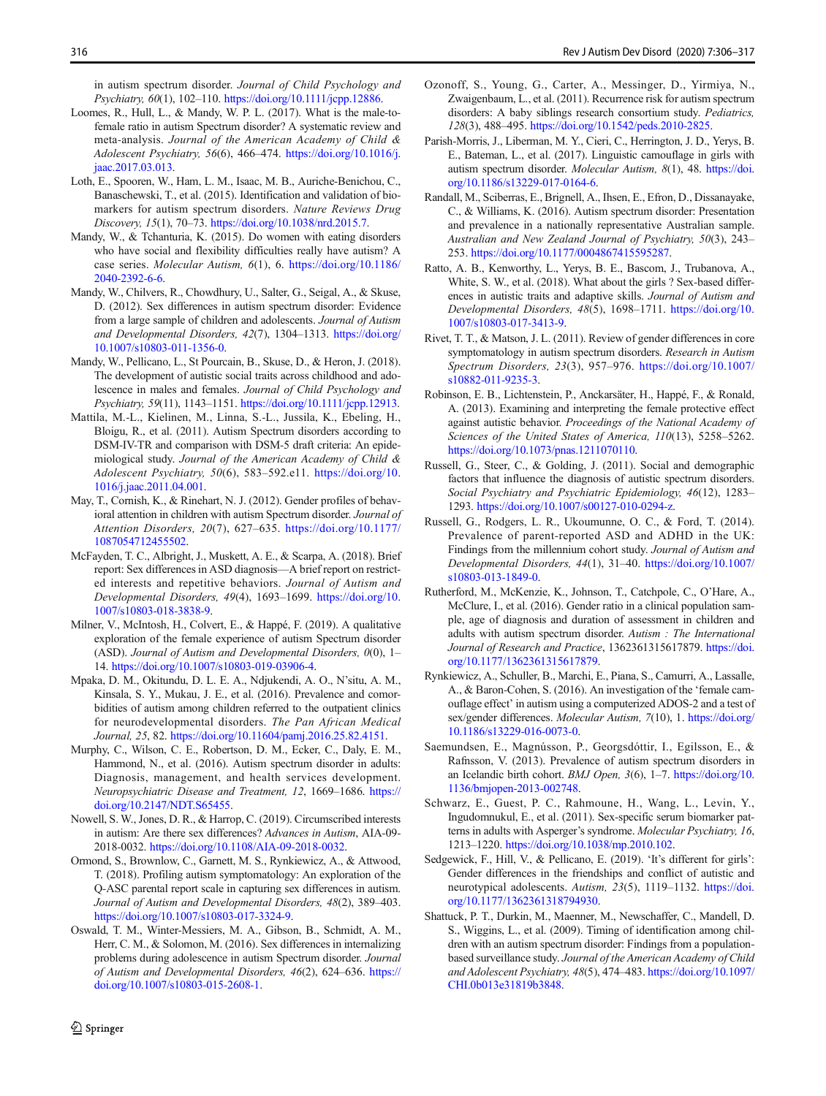- <span id="page-10-0"></span>Loomes, R., Hull, L., & Mandy, W. P. L. (2017). What is the male-tofemale ratio in autism Spectrum disorder? A systematic review and meta-analysis. Journal of the American Academy of Child & Adolescent Psychiatry, 56(6), 466–474. [https://doi.org/10.1016/j.](https://doi.org/10.1016/j.jaac.2017.03.013) [jaac.2017.03.013](https://doi.org/10.1016/j.jaac.2017.03.013).
- Loth, E., Spooren, W., Ham, L. M., Isaac, M. B., Auriche-Benichou, C., Banaschewski, T., et al. (2015). Identification and validation of biomarkers for autism spectrum disorders. Nature Reviews Drug Discovery, 15(1), 70–73. <https://doi.org/10.1038/nrd.2015.7>.
- Mandy, W., & Tchanturia, K. (2015). Do women with eating disorders who have social and flexibility difficulties really have autism? A case series. Molecular Autism, 6(1), 6. [https://doi.org/10.1186/](https://doi.org/10.1186/2040-2392-6-6) [2040-2392-6-6](https://doi.org/10.1186/2040-2392-6-6).
- Mandy, W., Chilvers, R., Chowdhury, U., Salter, G., Seigal, A., & Skuse, D. (2012). Sex differences in autism spectrum disorder: Evidence from a large sample of children and adolescents. Journal of Autism and Developmental Disorders, 42(7), 1304–1313. [https://doi.org/](https://doi.org/10.1007/s10803-011-1356-0) [10.1007/s10803-011-1356-0.](https://doi.org/10.1007/s10803-011-1356-0)
- Mandy, W., Pellicano, L., St Pourcain, B., Skuse, D., & Heron, J. (2018). The development of autistic social traits across childhood and adolescence in males and females. Journal of Child Psychology and Psychiatry, 59(11), 1143–1151. <https://doi.org/10.1111/jcpp.12913>.
- Mattila, M.-L., Kielinen, M., Linna, S.-L., Jussila, K., Ebeling, H., Bloigu, R., et al. (2011). Autism Spectrum disorders according to DSM-IV-TR and comparison with DSM-5 draft criteria: An epidemiological study. Journal of the American Academy of Child & Adolescent Psychiatry, 50(6), 583-592.e11. [https://doi.org/10.](https://doi.org/10.1016/j.jaac.2011.04.001) [1016/j.jaac.2011.04.001.](https://doi.org/10.1016/j.jaac.2011.04.001)
- May, T., Cornish, K., & Rinehart, N. J. (2012). Gender profiles of behavioral attention in children with autism Spectrum disorder. Journal of Attention Disorders, 20(7), 627–635. [https://doi.org/10.1177/](https://doi.org/10.1177/1087054712455502) [1087054712455502](https://doi.org/10.1177/1087054712455502).
- McFayden, T. C., Albright, J., Muskett, A. E., & Scarpa, A. (2018). Brief report: Sex differences in ASD diagnosis—A brief report on restricted interests and repetitive behaviors. Journal of Autism and Developmental Disorders, 49(4), 1693–1699. [https://doi.org/10.](https://doi.org/10.1007/s10803-018-3838-9) [1007/s10803-018-3838-9.](https://doi.org/10.1007/s10803-018-3838-9)
- Milner, V., McIntosh, H., Colvert, E., & Happé, F. (2019). A qualitative exploration of the female experience of autism Spectrum disorder (ASD). Journal of Autism and Developmental Disorders,  $0(0)$ , 1– 14. <https://doi.org/10.1007/s10803-019-03906-4>.
- Mpaka, D. M., Okitundu, D. L. E. A., Ndjukendi, A. O., N'situ, A. M., Kinsala, S. Y., Mukau, J. E., et al. (2016). Prevalence and comorbidities of autism among children referred to the outpatient clinics for neurodevelopmental disorders. The Pan African Medical Journal, 25, 82. [https://doi.org/10.11604/pamj.2016.25.82.4151.](https://doi.org/10.11604/pamj.2016.25.82.4151)
- Murphy, C., Wilson, C. E., Robertson, D. M., Ecker, C., Daly, E. M., Hammond, N., et al. (2016). Autism spectrum disorder in adults: Diagnosis, management, and health services development. Neuropsychiatric Disease and Treatment, 12, 1669–1686. [https://](https://doi.org/10.2147/NDT.S65455) [doi.org/10.2147/NDT.S65455](https://doi.org/10.2147/NDT.S65455).
- Nowell, S. W., Jones, D. R., & Harrop, C. (2019). Circumscribed interests in autism: Are there sex differences? Advances in Autism, AIA-09- 2018-0032. [https://doi.org/10.1108/AIA-09-2018-0032.](https://doi.org/10.1108/AIA-09-2018-0032)
- Ormond, S., Brownlow, C., Garnett, M. S., Rynkiewicz, A., & Attwood, T. (2018). Profiling autism symptomatology: An exploration of the Q-ASC parental report scale in capturing sex differences in autism. Journal of Autism and Developmental Disorders, 48(2), 389–403. [https://doi.org/10.1007/s10803-017-3324-9.](https://doi.org/10.1007/s10803-017-3324-9)
- Oswald, T. M., Winter-Messiers, M. A., Gibson, B., Schmidt, A. M., Herr, C. M., & Solomon, M. (2016). Sex differences in internalizing problems during adolescence in autism Spectrum disorder. Journal of Autism and Developmental Disorders, 46(2), 624–636. [https://](https://doi.org/10.1007/s10803-015-2608-1) [doi.org/10.1007/s10803-015-2608-1](https://doi.org/10.1007/s10803-015-2608-1).
- Ozonoff, S., Young, G., Carter, A., Messinger, D., Yirmiya, N., Zwaigenbaum, L., et al. (2011). Recurrence risk for autism spectrum disorders: A baby siblings research consortium study. Pediatrics, 128(3), 488–495. <https://doi.org/10.1542/peds.2010-2825>.
- Parish-Morris, J., Liberman, M. Y., Cieri, C., Herrington, J. D., Yerys, B. E., Bateman, L., et al. (2017). Linguistic camouflage in girls with autism spectrum disorder. Molecular Autism, 8(1), 48. [https://doi.](https://doi.org/10.1186/s13229-017-0164-6) [org/10.1186/s13229-017-0164-6.](https://doi.org/10.1186/s13229-017-0164-6)
- Randall, M., Sciberras, E., Brignell, A., Ihsen, E., Efron, D., Dissanayake, C., & Williams, K. (2016). Autism spectrum disorder: Presentation and prevalence in a nationally representative Australian sample. Australian and New Zealand Journal of Psychiatry, 50(3), 243– 253. [https://doi.org/10.1177/0004867415595287.](https://doi.org/10.1177/0004867415595287)
- Ratto, A. B., Kenworthy, L., Yerys, B. E., Bascom, J., Trubanova, A., White, S. W., et al. (2018). What about the girls ? Sex-based differences in autistic traits and adaptive skills. Journal of Autism and Developmental Disorders, 48(5), 1698–1711. [https://doi.org/10.](https://doi.org/10.1007/s10803-017-3413-9) [1007/s10803-017-3413-9.](https://doi.org/10.1007/s10803-017-3413-9)
- Rivet, T. T., & Matson, J. L. (2011). Review of gender differences in core symptomatology in autism spectrum disorders. Research in Autism Spectrum Disorders, 23(3), 957–976. [https://doi.org/10.1007/](https://doi.org/10.1007/s10882-011-9235-3) [s10882-011-9235-3.](https://doi.org/10.1007/s10882-011-9235-3)
- Robinson, E. B., Lichtenstein, P., Anckarsäter, H., Happé, F., & Ronald, A. (2013). Examining and interpreting the female protective effect against autistic behavior. Proceedings of the National Academy of Sciences of the United States of America, 110(13), 5258-5262. [https://doi.org/10.1073/pnas.1211070110.](https://doi.org/10.1073/pnas.1211070110)
- Russell, G., Steer, C., & Golding, J. (2011). Social and demographic factors that influence the diagnosis of autistic spectrum disorders. Social Psychiatry and Psychiatric Epidemiology, 46(12), 1283– 1293. <https://doi.org/10.1007/s00127-010-0294-z>.
- Russell, G., Rodgers, L. R., Ukoumunne, O. C., & Ford, T. (2014). Prevalence of parent-reported ASD and ADHD in the UK: Findings from the millennium cohort study. Journal of Autism and Developmental Disorders, 44(1), 31–40. [https://doi.org/10.1007/](https://doi.org/10.1007/s10803-013-1849-0) [s10803-013-1849-0.](https://doi.org/10.1007/s10803-013-1849-0)
- Rutherford, M., McKenzie, K., Johnson, T., Catchpole, C., O'Hare, A., McClure, I., et al. (2016). Gender ratio in a clinical population sample, age of diagnosis and duration of assessment in children and adults with autism spectrum disorder. Autism : The International Journal of Research and Practice, 1362361315617879. [https://doi.](https://doi.org/10.1177/1362361315617879) [org/10.1177/1362361315617879](https://doi.org/10.1177/1362361315617879).
- Rynkiewicz, A., Schuller, B., Marchi, E., Piana, S., Camurri, A., Lassalle, A., & Baron-Cohen, S. (2016). An investigation of the 'female camouflage effect' in autism using a computerized ADOS-2 and a test of sex/gender differences. Molecular Autism, 7(10), 1. [https://doi.org/](https://doi.org/10.1186/s13229-016-0073-0) [10.1186/s13229-016-0073-0.](https://doi.org/10.1186/s13229-016-0073-0)
- Saemundsen, E., Magnússon, P., Georgsdóttir, I., Egilsson, E., & Rafnsson, V. (2013). Prevalence of autism spectrum disorders in an Icelandic birth cohort. BMJ Open, 3(6), 1–7. [https://doi.org/10.](https://doi.org/10.1136/bmjopen-2013-002748) [1136/bmjopen-2013-002748.](https://doi.org/10.1136/bmjopen-2013-002748)
- Schwarz, E., Guest, P. C., Rahmoune, H., Wang, L., Levin, Y., Ingudomnukul, E., et al. (2011). Sex-specific serum biomarker patterns in adults with Asperger's syndrome. Molecular Psychiatry, 16, 1213–1220. <https://doi.org/10.1038/mp.2010.102>.
- Sedgewick, F., Hill, V., & Pellicano, E. (2019). 'It's different for girls': Gender differences in the friendships and conflict of autistic and neurotypical adolescents. Autism, 23(5), 1119–1132. [https://doi.](https://doi.org/10.1177/1362361318794930) [org/10.1177/1362361318794930](https://doi.org/10.1177/1362361318794930).
- Shattuck, P. T., Durkin, M., Maenner, M., Newschaffer, C., Mandell, D. S., Wiggins, L., et al. (2009). Timing of identification among children with an autism spectrum disorder: Findings from a populationbased surveillance study. Journal of the American Academy of Child and Adolescent Psychiatry, 48(5), 474–483. [https://doi.org/10.1097/](https://doi.org/10.1097/CHI.0b013e31819b3848) [CHI.0b013e31819b3848.](https://doi.org/10.1097/CHI.0b013e31819b3848)